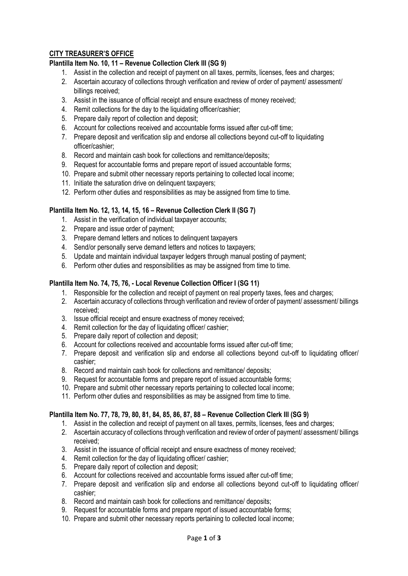# **CITY TREASURER'S OFFICE**

## **Plantilla Item No. 10, 11 – Revenue Collection Clerk III (SG 9)**

- 1. Assist in the collection and receipt of payment on all taxes, permits, licenses, fees and charges;
- 2. Ascertain accuracy of collections through verification and review of order of payment/ assessment/ billings received:
- 3. Assist in the issuance of official receipt and ensure exactness of money received;
- 4. Remit collections for the day to the liquidating officer/cashier:
- 5. Prepare daily report of collection and deposit;
- 6. Account for collections received and accountable forms issued after cut-off time;
- 7. Prepare deposit and verification slip and endorse all collections beyond cut-off to liquidating officer/cashier;
- 8. Record and maintain cash book for collections and remittance/deposits;
- 9. Request for accountable forms and prepare report of issued accountable forms;
- 10. Prepare and submit other necessary reports pertaining to collected local income;
- 11. Initiate the saturation drive on delinquent taxpayers;
- 12. Perform other duties and responsibilities as may be assigned from time to time.

## **Plantilla Item No. 12, 13, 14, 15, 16 – Revenue Collection Clerk II (SG 7)**

- 1. Assist in the verification of individual taxpayer accounts;
- 2. Prepare and issue order of payment;
- 3. Prepare demand letters and notices to delinquent taxpayers
- 4. Send/or personally serve demand letters and notices to taxpayers;
- 5. Update and maintain individual taxpayer ledgers through manual posting of payment;
- 6. Perform other duties and responsibilities as may be assigned from time to time.

#### **Plantilla Item No. 74, 75, 76, - Local Revenue Collection Officer I (SG 11)**

- 1. Responsible for the collection and receipt of payment on real property taxes, fees and charges;
- 2. Ascertain accuracy of collections through verification and review of order of payment/ assessment/ billings received;
- 3. Issue official receipt and ensure exactness of money received;
- 4. Remit collection for the day of liquidating officer/ cashier;
- 5. Prepare daily report of collection and deposit;
- 6. Account for collections received and accountable forms issued after cut-off time;
- 7. Prepare deposit and verification slip and endorse all collections beyond cut-off to liquidating officer/ cashier;
- 8. Record and maintain cash book for collections and remittance/ deposits;
- 9. Request for accountable forms and prepare report of issued accountable forms;
- 10. Prepare and submit other necessary reports pertaining to collected local income;
- 11. Perform other duties and responsibilities as may be assigned from time to time.

## **Plantilla Item No. 77, 78, 79, 80, 81, 84, 85, 86, 87, 88 – Revenue Collection Clerk III (SG 9)**

- 1. Assist in the collection and receipt of payment on all taxes, permits, licenses, fees and charges;
- 2. Ascertain accuracy of collections through verification and review of order of payment/ assessment/ billings received;
- 3. Assist in the issuance of official receipt and ensure exactness of money received;
- 4. Remit collection for the day of liquidating officer/ cashier;
- 5. Prepare daily report of collection and deposit;
- 6. Account for collections received and accountable forms issued after cut-off time;
- 7. Prepare deposit and verification slip and endorse all collections beyond cut-off to liquidating officer/ cashier;
- 8. Record and maintain cash book for collections and remittance/ deposits;
- 9. Request for accountable forms and prepare report of issued accountable forms;
- 10. Prepare and submit other necessary reports pertaining to collected local income;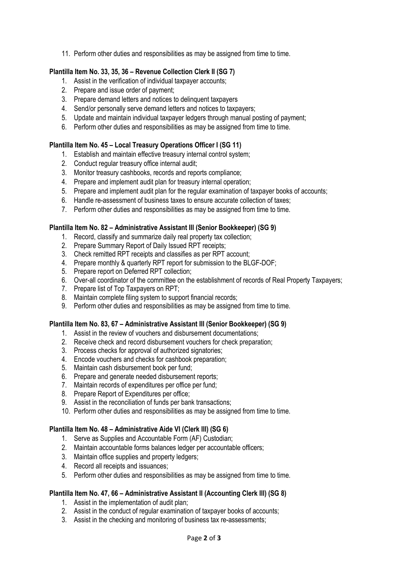11. Perform other duties and responsibilities as may be assigned from time to time.

## **Plantilla Item No. 33, 35, 36 – Revenue Collection Clerk II (SG 7)**

- 1. Assist in the verification of individual taxpayer accounts;
- 2. Prepare and issue order of payment;
- 3. Prepare demand letters and notices to delinquent taxpayers
- 4. Send/or personally serve demand letters and notices to taxpayers;
- 5. Update and maintain individual taxpayer ledgers through manual posting of payment;
- 6. Perform other duties and responsibilities as may be assigned from time to time.

## **Plantilla Item No. 45 – Local Treasury Operations Officer I (SG 11)**

- 1. Establish and maintain effective treasury internal control system;
- 2. Conduct regular treasury office internal audit;
- 3. Monitor treasury cashbooks, records and reports compliance;
- 4. Prepare and implement audit plan for treasury internal operation;
- 5. Prepare and implement audit plan for the regular examination of taxpayer books of accounts;
- 6. Handle re-assessment of business taxes to ensure accurate collection of taxes;
- 7. Perform other duties and responsibilities as may be assigned from time to time.

## **Plantilla Item No. 82 – Administrative Assistant III (Senior Bookkeeper) (SG 9)**

- 1. Record, classify and summarize daily real property tax collection;
- 2. Prepare Summary Report of Daily Issued RPT receipts;
- 3. Check remitted RPT receipts and classifies as per RPT account;
- 4. Prepare monthly & quarterly RPT report for submission to the BLGF-DOF;
- 5. Prepare report on Deferred RPT collection;
- 6. Over-all coordinator of the committee on the establishment of records of Real Property Taxpayers;
- 7. Prepare list of Top Taxpayers on RPT;
- 8. Maintain complete filing system to support financial records;
- 9. Perform other duties and responsibilities as may be assigned from time to time.

## **Plantilla Item No. 83, 67 – Administrative Assistant III (Senior Bookkeeper) (SG 9)**

- 1. Assist in the review of vouchers and disbursement documentations;
- 2. Receive check and record disbursement vouchers for check preparation;
- 3. Process checks for approval of authorized signatories;
- 4. Encode vouchers and checks for cashbook preparation;
- 5. Maintain cash disbursement book per fund;
- 6. Prepare and generate needed disbursement reports;
- 7. Maintain records of expenditures per office per fund;
- 8. Prepare Report of Expenditures per office;
- 9. Assist in the reconciliation of funds per bank transactions;
- 10. Perform other duties and responsibilities as may be assigned from time to time.

## **Plantilla Item No. 48 – Administrative Aide VI (Clerk III) (SG 6)**

- 1. Serve as Supplies and Accountable Form (AF) Custodian;
- 2. Maintain accountable forms balances ledger per accountable officers;
- 3. Maintain office supplies and property ledgers;
- 4. Record all receipts and issuances;
- 5. Perform other duties and responsibilities as may be assigned from time to time.

## **Plantilla Item No. 47, 66 – Administrative Assistant II (Accounting Clerk III) (SG 8)**

- 1. Assist in the implementation of audit plan;
- 2. Assist in the conduct of regular examination of taxpayer books of accounts;
- 3. Assist in the checking and monitoring of business tax re-assessments;